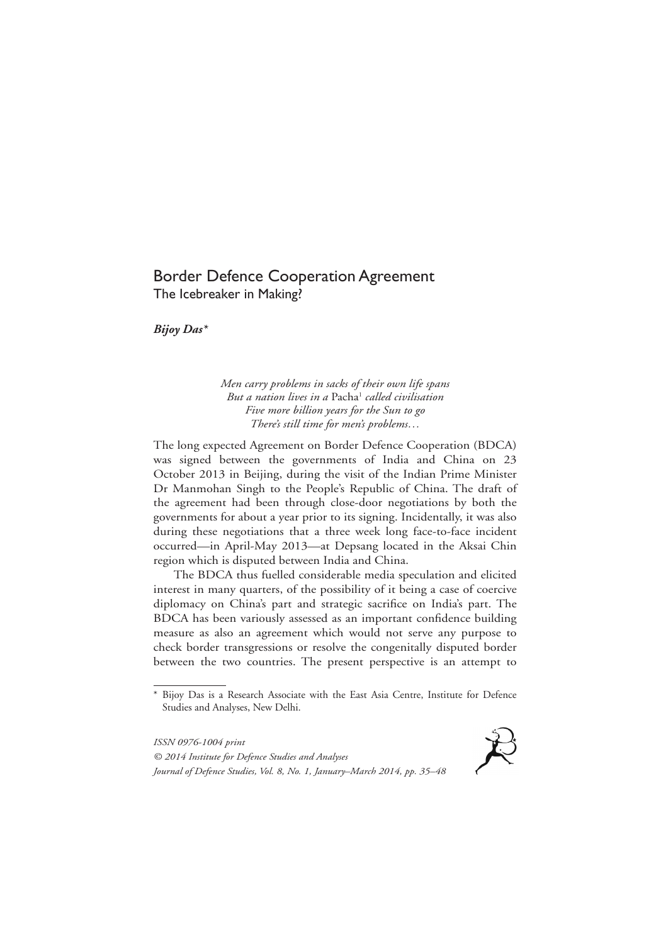# Border Defence Cooperation Agreement The Icebreaker in Making?

*Bijoy Das\**

*Men carry problems in sacks of their own life spans But a nation lives in a* Pacha1 *called civilisation Five more billion years for the Sun to go There's still time for men's problems…*

The long expected Agreement on Border Defence Cooperation (BDCA) was signed between the governments of India and China on 23 October 2013 in Beijing, during the visit of the Indian Prime Minister Dr Manmohan Singh to the People's Republic of China. The draft of the agreement had been through close-door negotiations by both the governments for about a year prior to its signing. Incidentally, it was also during these negotiations that a three week long face-to-face incident occurred—in April-May 2013—at Depsang located in the Aksai Chin region which is disputed between India and China.

The BDCA thus fuelled considerable media speculation and elicited interest in many quarters, of the possibility of it being a case of coercive diplomacy on China's part and strategic sacrifice on India's part. The BDCA has been variously assessed as an important confidence building measure as also an agreement which would not serve any purpose to check border transgressions or resolve the congenitally disputed border between the two countries. The present perspective is an attempt to

*ISSN 0976-1004 print © 2014 Institute for Defence Studies and Analyses Journal of Defence Studies, Vol. 8, No. 1, January–March 2014, pp. 35–48*



<sup>\*</sup> Bijoy Das is a Research Associate with the East Asia Centre, Institute for Defence Studies and Analyses, New Delhi.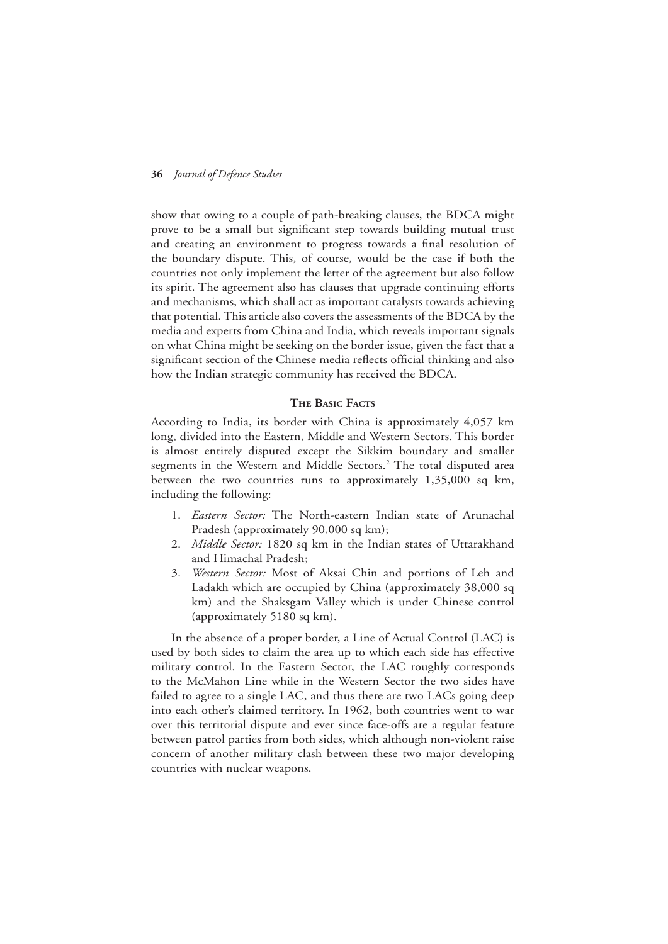show that owing to a couple of path-breaking clauses, the BDCA might prove to be a small but significant step towards building mutual trust and creating an environment to progress towards a final resolution of the boundary dispute. This, of course, would be the case if both the countries not only implement the letter of the agreement but also follow its spirit. The agreement also has clauses that upgrade continuing efforts and mechanisms, which shall act as important catalysts towards achieving that potential. This article also covers the assessments of the BDCA by the media and experts from China and India, which reveals important signals on what China might be seeking on the border issue, given the fact that a significant section of the Chinese media reflects official thinking and also how the Indian strategic community has received the BDCA.

#### **The Basic Facts**

According to India, its border with China is approximately 4,057 km long, divided into the Eastern, Middle and Western Sectors. This border is almost entirely disputed except the Sikkim boundary and smaller segments in the Western and Middle Sectors.<sup>2</sup> The total disputed area between the two countries runs to approximately 1,35,000 sq km, including the following:

- 1. *Eastern Sector:* The North-eastern Indian state of Arunachal Pradesh (approximately 90,000 sq km);
- 2. *Middle Sector:* 1820 sq km in the Indian states of Uttarakhand and Himachal Pradesh;
- 3. *Western Sector:* Most of Aksai Chin and portions of Leh and Ladakh which are occupied by China (approximately 38,000 sq km) and the Shaksgam Valley which is under Chinese control (approximately 5180 sq km).

In the absence of a proper border, a Line of Actual Control (LAC) is used by both sides to claim the area up to which each side has effective military control. In the Eastern Sector, the LAC roughly corresponds to the McMahon Line while in the Western Sector the two sides have failed to agree to a single LAC, and thus there are two LACs going deep into each other's claimed territory. In 1962, both countries went to war over this territorial dispute and ever since face-offs are a regular feature between patrol parties from both sides, which although non-violent raise concern of another military clash between these two major developing countries with nuclear weapons.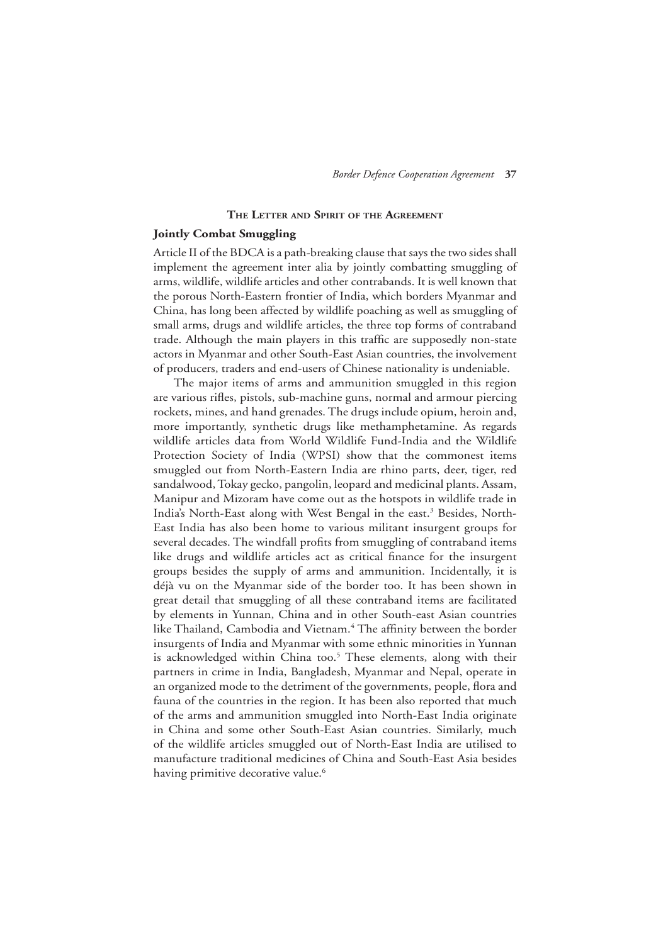# **The Letter and Spirit of the Agreement**

# **Jointly Combat Smuggling**

Article II of the BDCA is a path-breaking clause that says the two sides shall implement the agreement inter alia by jointly combatting smuggling of arms, wildlife, wildlife articles and other contrabands. It is well known that the porous North-Eastern frontier of India, which borders Myanmar and China, has long been affected by wildlife poaching as well as smuggling of small arms, drugs and wildlife articles, the three top forms of contraband trade. Although the main players in this traffic are supposedly non-state actors in Myanmar and other South-East Asian countries, the involvement of producers, traders and end-users of Chinese nationality is undeniable.

The major items of arms and ammunition smuggled in this region are various rifles, pistols, sub-machine guns, normal and armour piercing rockets, mines, and hand grenades. The drugs include opium, heroin and, more importantly, synthetic drugs like methamphetamine. As regards wildlife articles data from World Wildlife Fund-India and the Wildlife Protection Society of India (WPSI) show that the commonest items smuggled out from North-Eastern India are rhino parts, deer, tiger, red sandalwood, Tokay gecko, pangolin, leopard and medicinal plants. Assam, Manipur and Mizoram have come out as the hotspots in wildlife trade in India's North-East along with West Bengal in the east.<sup>3</sup> Besides, North-East India has also been home to various militant insurgent groups for several decades. The windfall profits from smuggling of contraband items like drugs and wildlife articles act as critical finance for the insurgent groups besides the supply of arms and ammunition. Incidentally, it is déjà vu on the Myanmar side of the border too. It has been shown in great detail that smuggling of all these contraband items are facilitated by elements in Yunnan, China and in other South-east Asian countries like Thailand, Cambodia and Vietnam.<sup>4</sup> The affinity between the border insurgents of India and Myanmar with some ethnic minorities in Yunnan is acknowledged within China too.<sup>5</sup> These elements, along with their partners in crime in India, Bangladesh, Myanmar and Nepal, operate in an organized mode to the detriment of the governments, people, flora and fauna of the countries in the region. It has been also reported that much of the arms and ammunition smuggled into North-East India originate in China and some other South-East Asian countries. Similarly, much of the wildlife articles smuggled out of North-East India are utilised to manufacture traditional medicines of China and South-East Asia besides having primitive decorative value.<sup>6</sup>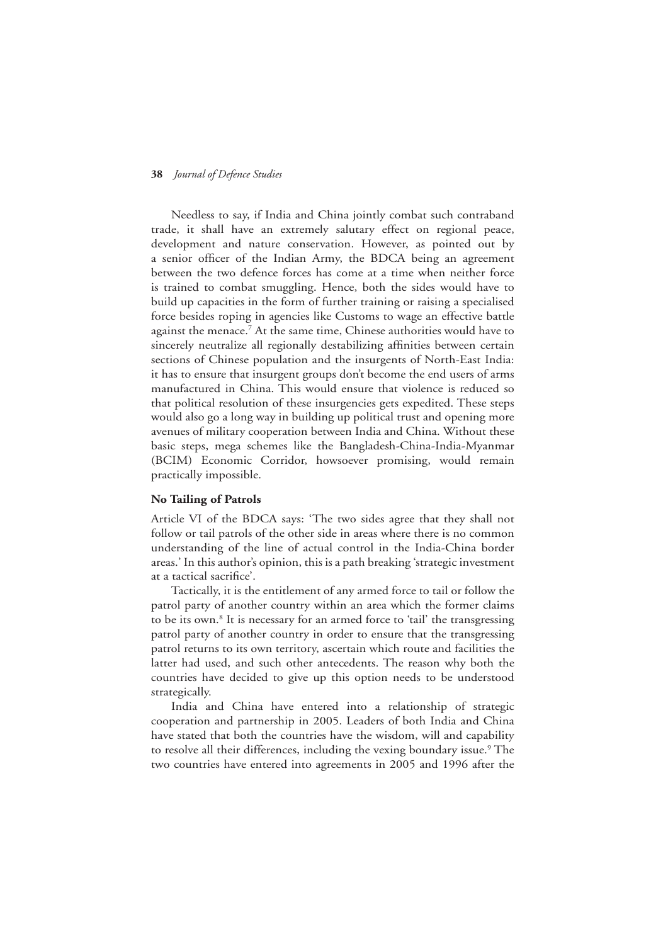Needless to say, if India and China jointly combat such contraband trade, it shall have an extremely salutary effect on regional peace, development and nature conservation. However, as pointed out by a senior officer of the Indian Army, the BDCA being an agreement between the two defence forces has come at a time when neither force is trained to combat smuggling. Hence, both the sides would have to build up capacities in the form of further training or raising a specialised force besides roping in agencies like Customs to wage an effective battle against the menace.<sup>7</sup> At the same time, Chinese authorities would have to sincerely neutralize all regionally destabilizing affinities between certain sections of Chinese population and the insurgents of North-East India: it has to ensure that insurgent groups don't become the end users of arms manufactured in China. This would ensure that violence is reduced so that political resolution of these insurgencies gets expedited. These steps would also go a long way in building up political trust and opening more avenues of military cooperation between India and China. Without these basic steps, mega schemes like the Bangladesh-China-India-Myanmar (BCIM) Economic Corridor, howsoever promising, would remain practically impossible.

# **No Tailing of Patrols**

Article VI of the BDCA says: 'The two sides agree that they shall not follow or tail patrols of the other side in areas where there is no common understanding of the line of actual control in the India-China border areas.' In this author's opinion, this is a path breaking 'strategic investment at a tactical sacrifice'.

Tactically, it is the entitlement of any armed force to tail or follow the patrol party of another country within an area which the former claims to be its own.<sup>8</sup> It is necessary for an armed force to 'tail' the transgressing patrol party of another country in order to ensure that the transgressing patrol returns to its own territory, ascertain which route and facilities the latter had used, and such other antecedents. The reason why both the countries have decided to give up this option needs to be understood strategically.

India and China have entered into a relationship of strategic cooperation and partnership in 2005. Leaders of both India and China have stated that both the countries have the wisdom, will and capability to resolve all their differences, including the vexing boundary issue.<sup>9</sup> The two countries have entered into agreements in 2005 and 1996 after the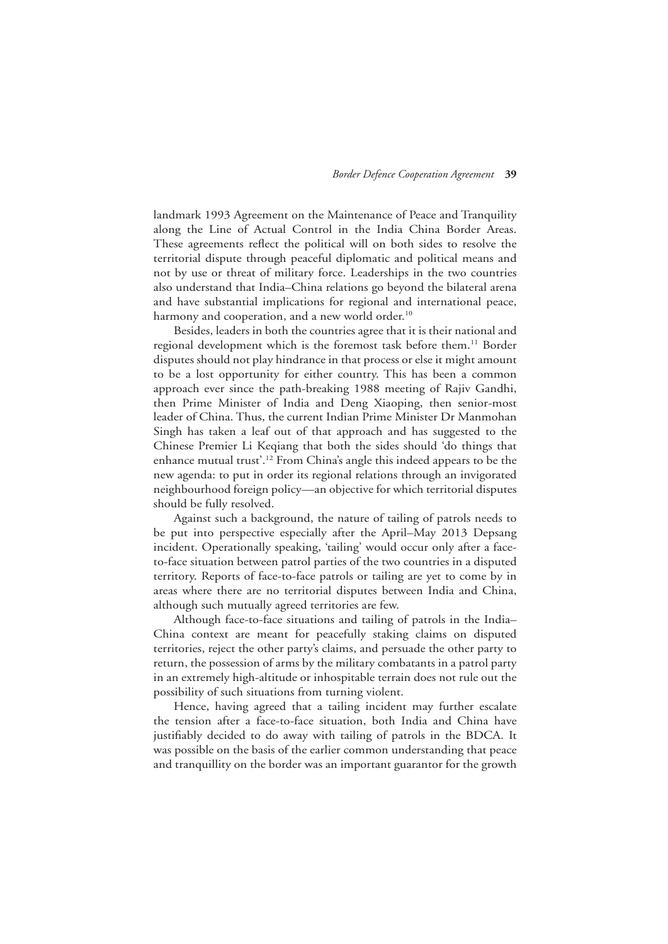landmark 1993 Agreement on the Maintenance of Peace and Tranquility along the Line of Actual Control in the India China Border Areas. These agreements reflect the political will on both sides to resolve the territorial dispute through peaceful diplomatic and political means and not by use or threat of military force. Leaderships in the two countries also understand that India–China relations go beyond the bilateral arena and have substantial implications for regional and international peace, harmony and cooperation, and a new world order.<sup>10</sup>

Besides, leaders in both the countries agree that it is their national and regional development which is the foremost task before them.<sup>11</sup> Border disputes should not play hindrance in that process or else it might amount to be a lost opportunity for either country. This has been a common approach ever since the path-breaking 1988 meeting of Rajiv Gandhi, then Prime Minister of India and Deng Xiaoping, then senior-most leader of China. Thus, the current Indian Prime Minister Dr Manmohan Singh has taken a leaf out of that approach and has suggested to the Chinese Premier Li Keqiang that both the sides should 'do things that enhance mutual trust'.12 From China's angle this indeed appears to be the new agenda: to put in order its regional relations through an invigorated neighbourhood foreign policy—an objective for which territorial disputes should be fully resolved.

Against such a background, the nature of tailing of patrols needs to be put into perspective especially after the April–May 2013 Depsang incident. Operationally speaking, 'tailing' would occur only after a faceto-face situation between patrol parties of the two countries in a disputed territory. Reports of face-to-face patrols or tailing are yet to come by in areas where there are no territorial disputes between India and China, although such mutually agreed territories are few.

Although face-to-face situations and tailing of patrols in the India– China context are meant for peacefully staking claims on disputed territories, reject the other party's claims, and persuade the other party to return, the possession of arms by the military combatants in a patrol party in an extremely high-altitude or inhospitable terrain does not rule out the possibility of such situations from turning violent.

Hence, having agreed that a tailing incident may further escalate the tension after a face-to-face situation, both India and China have justifiably decided to do away with tailing of patrols in the BDCA. It was possible on the basis of the earlier common understanding that peace and tranquillity on the border was an important guarantor for the growth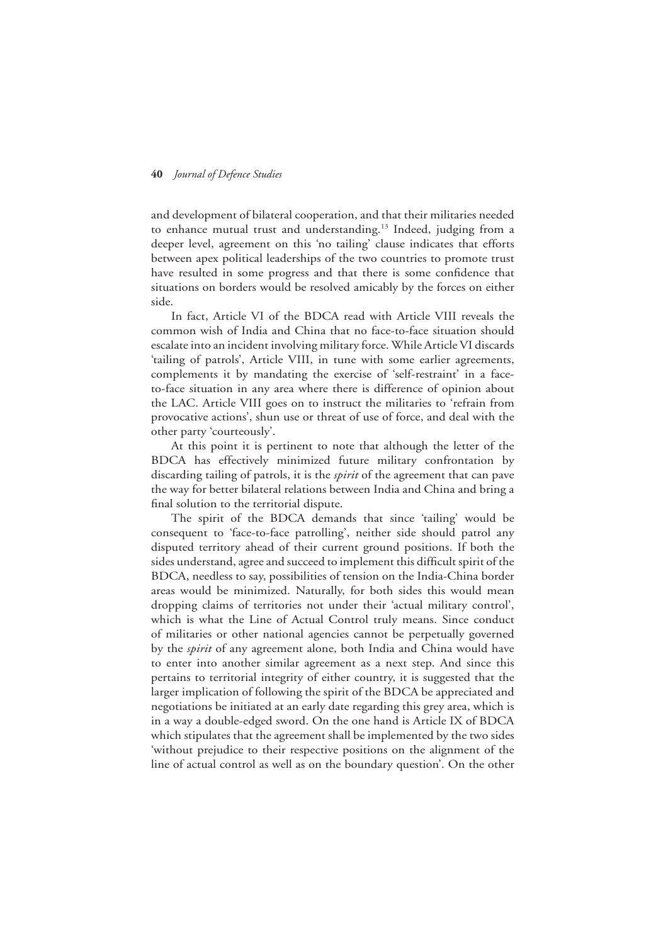and development of bilateral cooperation, and that their militaries needed to enhance mutual trust and understanding.<sup>13</sup> Indeed, judging from a deeper level, agreement on this 'no tailing' clause indicates that efforts between apex political leaderships of the two countries to promote trust have resulted in some progress and that there is some confidence that situations on borders would be resolved amicably by the forces on either side.

In fact, Article VI of the BDCA read with Article VIII reveals the common wish of India and China that no face-to-face situation should escalate into an incident involving military force. While Article VI discards 'tailing of patrols', Article VIII, in tune with some earlier agreements, complements it by mandating the exercise of 'self-restraint' in a faceto-face situation in any area where there is difference of opinion about the LAC. Article VIII goes on to instruct the militaries to 'refrain from provocative actions', shun use or threat of use of force, and deal with the other party 'courteously'.

At this point it is pertinent to note that although the letter of the BDCA has effectively minimized future military confrontation by discarding tailing of patrols, it is the *spirit* of the agreement that can pave the way for better bilateral relations between India and China and bring a final solution to the territorial dispute.

The spirit of the BDCA demands that since 'tailing' would be consequent to 'face-to-face patrolling', neither side should patrol any disputed territory ahead of their current ground positions. If both the sides understand, agree and succeed to implement this difficult spirit of the BDCA, needless to say, possibilities of tension on the India-China border areas would be minimized. Naturally, for both sides this would mean dropping claims of territories not under their 'actual military control', which is what the Line of Actual Control truly means. Since conduct of militaries or other national agencies cannot be perpetually governed by the *spirit* of any agreement alone, both India and China would have to enter into another similar agreement as a next step. And since this pertains to territorial integrity of either country, it is suggested that the larger implication of following the spirit of the BDCA be appreciated and negotiations be initiated at an early date regarding this grey area, which is in a way a double-edged sword. On the one hand is Article IX of BDCA which stipulates that the agreement shall be implemented by the two sides 'without prejudice to their respective positions on the alignment of the line of actual control as well as on the boundary question'. On the other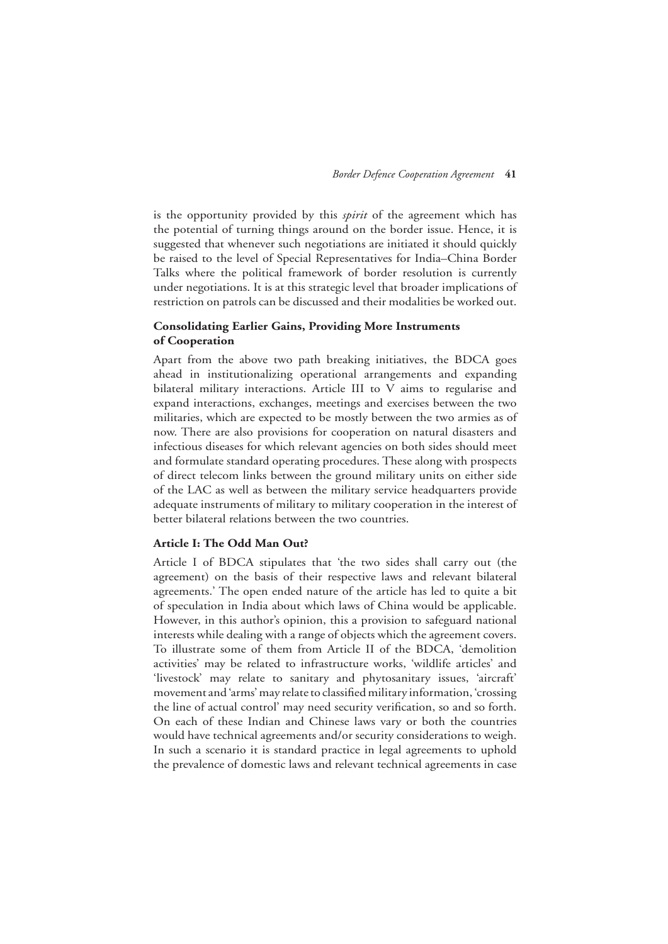is the opportunity provided by this *spirit* of the agreement which has the potential of turning things around on the border issue. Hence, it is suggested that whenever such negotiations are initiated it should quickly be raised to the level of Special Representatives for India–China Border Talks where the political framework of border resolution is currently under negotiations. It is at this strategic level that broader implications of restriction on patrols can be discussed and their modalities be worked out.

# **Consolidating Earlier Gains, Providing More Instruments of Cooperation**

Apart from the above two path breaking initiatives, the BDCA goes ahead in institutionalizing operational arrangements and expanding bilateral military interactions. Article III to V aims to regularise and expand interactions, exchanges, meetings and exercises between the two militaries, which are expected to be mostly between the two armies as of now. There are also provisions for cooperation on natural disasters and infectious diseases for which relevant agencies on both sides should meet and formulate standard operating procedures. These along with prospects of direct telecom links between the ground military units on either side of the LAC as well as between the military service headquarters provide adequate instruments of military to military cooperation in the interest of better bilateral relations between the two countries.

#### **Article I: The Odd Man Out?**

Article I of BDCA stipulates that 'the two sides shall carry out (the agreement) on the basis of their respective laws and relevant bilateral agreements.' The open ended nature of the article has led to quite a bit of speculation in India about which laws of China would be applicable. However, in this author's opinion, this a provision to safeguard national interests while dealing with a range of objects which the agreement covers. To illustrate some of them from Article II of the BDCA, 'demolition activities' may be related to infrastructure works, 'wildlife articles' and 'livestock' may relate to sanitary and phytosanitary issues, 'aircraft' movement and 'arms' may relate to classified military information, 'crossing the line of actual control' may need security verification, so and so forth. On each of these Indian and Chinese laws vary or both the countries would have technical agreements and/or security considerations to weigh. In such a scenario it is standard practice in legal agreements to uphold the prevalence of domestic laws and relevant technical agreements in case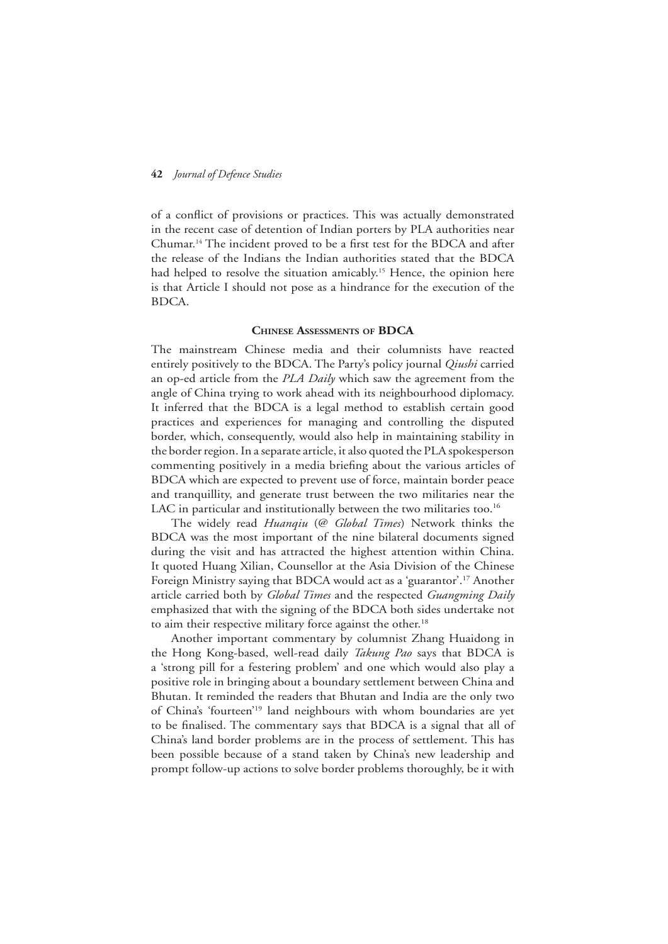of a conflict of provisions or practices. This was actually demonstrated in the recent case of detention of Indian porters by PLA authorities near Chumar.14 The incident proved to be a first test for the BDCA and after the release of the Indians the Indian authorities stated that the BDCA had helped to resolve the situation amicably.<sup>15</sup> Hence, the opinion here is that Article I should not pose as a hindrance for the execution of the BDCA.

#### **Chinese Assessments of BDCA**

The mainstream Chinese media and their columnists have reacted entirely positively to the BDCA. The Party's policy journal *Qiushi* carried an op-ed article from the *PLA Daily* which saw the agreement from the angle of China trying to work ahead with its neighbourhood diplomacy. It inferred that the BDCA is a legal method to establish certain good practices and experiences for managing and controlling the disputed border, which, consequently, would also help in maintaining stability in the border region. In a separate article, it also quoted the PLA spokesperson commenting positively in a media briefing about the various articles of BDCA which are expected to prevent use of force, maintain border peace and tranquillity, and generate trust between the two militaries near the LAC in particular and institutionally between the two militaries too.<sup>16</sup>

The widely read *Huanqiu* (@ *Global Times*) Network thinks the BDCA was the most important of the nine bilateral documents signed during the visit and has attracted the highest attention within China. It quoted Huang Xilian, Counsellor at the Asia Division of the Chinese Foreign Ministry saying that BDCA would act as a 'guarantor'.17 Another article carried both by *Global Times* and the respected *Guangming Daily* emphasized that with the signing of the BDCA both sides undertake not to aim their respective military force against the other.<sup>18</sup>

Another important commentary by columnist Zhang Huaidong in the Hong Kong-based, well-read daily *Takung Pao* says that BDCA is a 'strong pill for a festering problem' and one which would also play a positive role in bringing about a boundary settlement between China and Bhutan. It reminded the readers that Bhutan and India are the only two of China's 'fourteen'19 land neighbours with whom boundaries are yet to be finalised. The commentary says that BDCA is a signal that all of China's land border problems are in the process of settlement. This has been possible because of a stand taken by China's new leadership and prompt follow-up actions to solve border problems thoroughly, be it with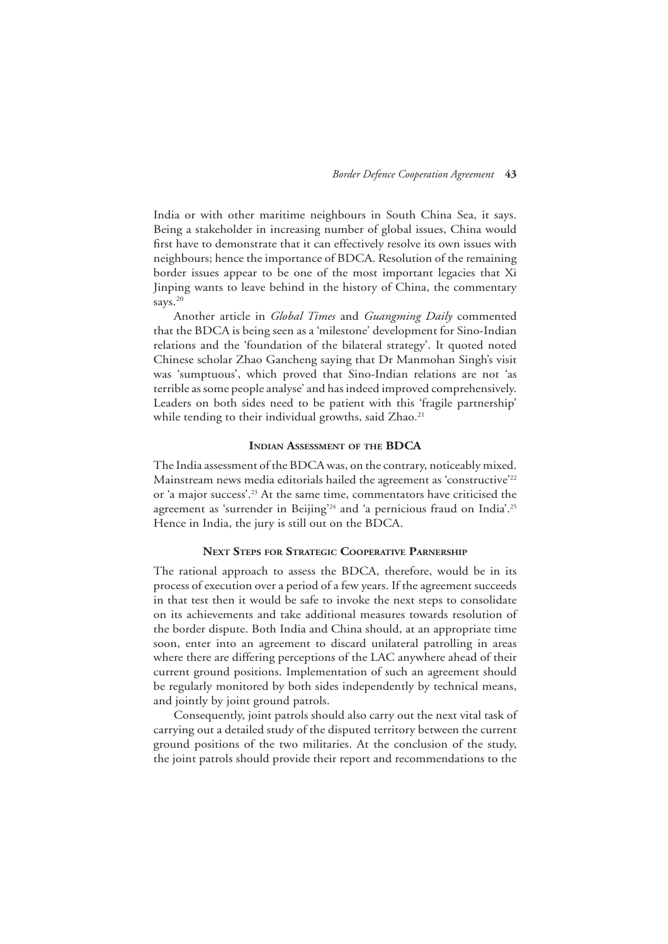India or with other maritime neighbours in South China Sea, it says. Being a stakeholder in increasing number of global issues, China would first have to demonstrate that it can effectively resolve its own issues with neighbours; hence the importance of BDCA. Resolution of the remaining border issues appear to be one of the most important legacies that Xi Jinping wants to leave behind in the history of China, the commentary says.<sup>20</sup>

Another article in *Global Times* and *Guangming Daily* commented that the BDCA is being seen as a 'milestone' development for Sino-Indian relations and the 'foundation of the bilateral strategy'. It quoted noted Chinese scholar Zhao Gancheng saying that Dr Manmohan Singh's visit was 'sumptuous', which proved that Sino-Indian relations are not 'as terrible as some people analyse' and has indeed improved comprehensively. Leaders on both sides need to be patient with this 'fragile partnership' while tending to their individual growths, said Zhao.<sup>21</sup>

#### **Indian Assessment of the BDCA**

The India assessment of the BDCA was, on the contrary, noticeably mixed. Mainstream news media editorials hailed the agreement as 'constructive'<sup>22</sup> or 'a major success'.23 At the same time, commentators have criticised the agreement as 'surrender in Beijing'<sup>24</sup> and 'a pernicious fraud on India'.<sup>25</sup> Hence in India, the jury is still out on the BDCA.

# **Next Steps for Strategic Cooperative Parnership**

The rational approach to assess the BDCA, therefore, would be in its process of execution over a period of a few years. If the agreement succeeds in that test then it would be safe to invoke the next steps to consolidate on its achievements and take additional measures towards resolution of the border dispute. Both India and China should, at an appropriate time soon, enter into an agreement to discard unilateral patrolling in areas where there are differing perceptions of the LAC anywhere ahead of their current ground positions. Implementation of such an agreement should be regularly monitored by both sides independently by technical means, and jointly by joint ground patrols.

Consequently, joint patrols should also carry out the next vital task of carrying out a detailed study of the disputed territory between the current ground positions of the two militaries. At the conclusion of the study, the joint patrols should provide their report and recommendations to the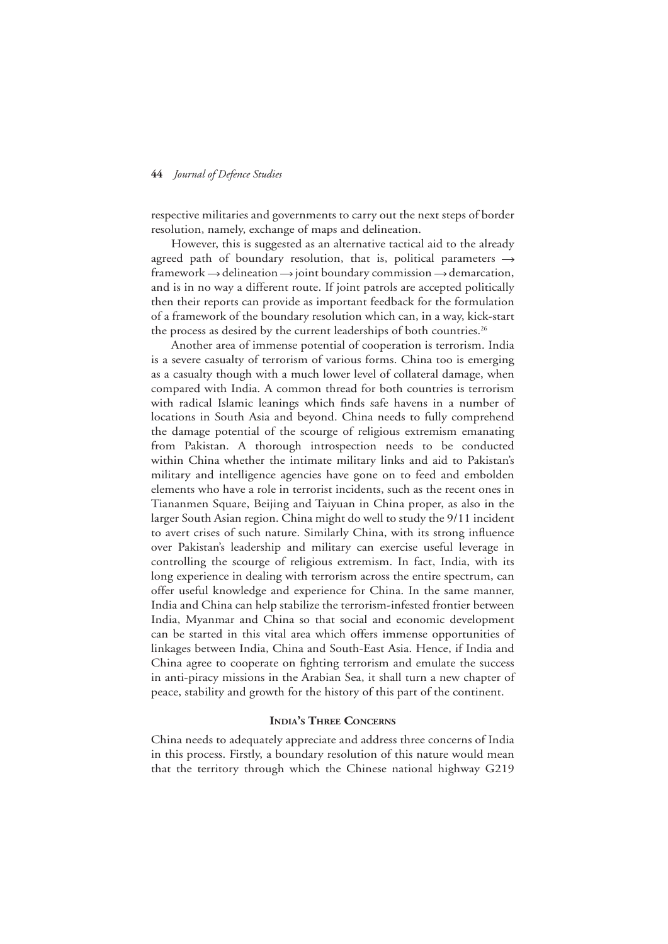respective militaries and governments to carry out the next steps of border resolution, namely, exchange of maps and delineation.

However, this is suggested as an alternative tactical aid to the already agreed path of boundary resolution, that is, political parameters  $\rightarrow$ framework  $\rightarrow$  delineation  $\rightarrow$  joint boundary commission  $\rightarrow$  demarcation, and is in no way a different route. If joint patrols are accepted politically then their reports can provide as important feedback for the formulation of a framework of the boundary resolution which can, in a way, kick-start the process as desired by the current leaderships of both countries.<sup>26</sup>

Another area of immense potential of cooperation is terrorism. India is a severe casualty of terrorism of various forms. China too is emerging as a casualty though with a much lower level of collateral damage, when compared with India. A common thread for both countries is terrorism with radical Islamic leanings which finds safe havens in a number of locations in South Asia and beyond. China needs to fully comprehend the damage potential of the scourge of religious extremism emanating from Pakistan. A thorough introspection needs to be conducted within China whether the intimate military links and aid to Pakistan's military and intelligence agencies have gone on to feed and embolden elements who have a role in terrorist incidents, such as the recent ones in Tiananmen Square, Beijing and Taiyuan in China proper, as also in the larger South Asian region. China might do well to study the 9/11 incident to avert crises of such nature. Similarly China, with its strong influence over Pakistan's leadership and military can exercise useful leverage in controlling the scourge of religious extremism. In fact, India, with its long experience in dealing with terrorism across the entire spectrum, can offer useful knowledge and experience for China. In the same manner, India and China can help stabilize the terrorism-infested frontier between India, Myanmar and China so that social and economic development can be started in this vital area which offers immense opportunities of linkages between India, China and South-East Asia. Hence, if India and China agree to cooperate on fighting terrorism and emulate the success in anti-piracy missions in the Arabian Sea, it shall turn a new chapter of peace, stability and growth for the history of this part of the continent.

# **India's Three Concerns**

China needs to adequately appreciate and address three concerns of India in this process. Firstly, a boundary resolution of this nature would mean that the territory through which the Chinese national highway G219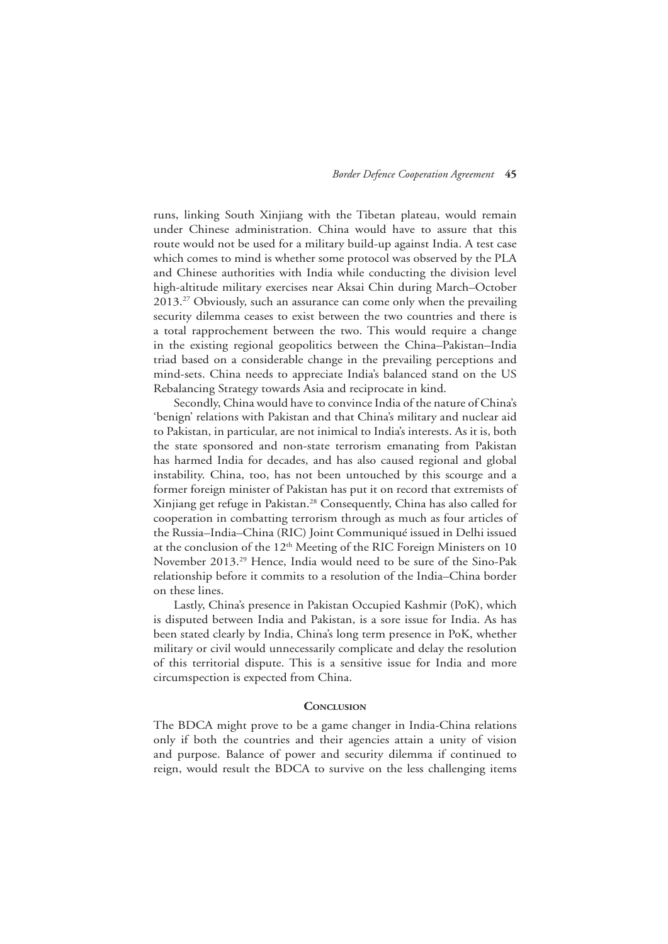runs, linking South Xinjiang with the Tibetan plateau, would remain under Chinese administration. China would have to assure that this route would not be used for a military build-up against India. A test case which comes to mind is whether some protocol was observed by the PLA and Chinese authorities with India while conducting the division level high-altitude military exercises near Aksai Chin during March–October 2013.27 Obviously, such an assurance can come only when the prevailing security dilemma ceases to exist between the two countries and there is a total rapprochement between the two. This would require a change in the existing regional geopolitics between the China–Pakistan–India triad based on a considerable change in the prevailing perceptions and mind-sets. China needs to appreciate India's balanced stand on the US Rebalancing Strategy towards Asia and reciprocate in kind.

Secondly, China would have to convince India of the nature of China's 'benign' relations with Pakistan and that China's military and nuclear aid to Pakistan, in particular, are not inimical to India's interests. As it is, both the state sponsored and non-state terrorism emanating from Pakistan has harmed India for decades, and has also caused regional and global instability. China, too, has not been untouched by this scourge and a former foreign minister of Pakistan has put it on record that extremists of Xinjiang get refuge in Pakistan.28 Consequently, China has also called for cooperation in combatting terrorism through as much as four articles of the Russia–India–China (RIC) Joint Communiqué issued in Delhi issued at the conclusion of the  $12<sup>th</sup>$  Meeting of the RIC Foreign Ministers on 10 November 2013.29 Hence, India would need to be sure of the Sino-Pak relationship before it commits to a resolution of the India–China border on these lines.

Lastly, China's presence in Pakistan Occupied Kashmir (PoK), which is disputed between India and Pakistan, is a sore issue for India. As has been stated clearly by India, China's long term presence in PoK, whether military or civil would unnecessarily complicate and delay the resolution of this territorial dispute. This is a sensitive issue for India and more circumspection is expected from China.

#### **CONCLUSION**

The BDCA might prove to be a game changer in India-China relations only if both the countries and their agencies attain a unity of vision and purpose. Balance of power and security dilemma if continued to reign, would result the BDCA to survive on the less challenging items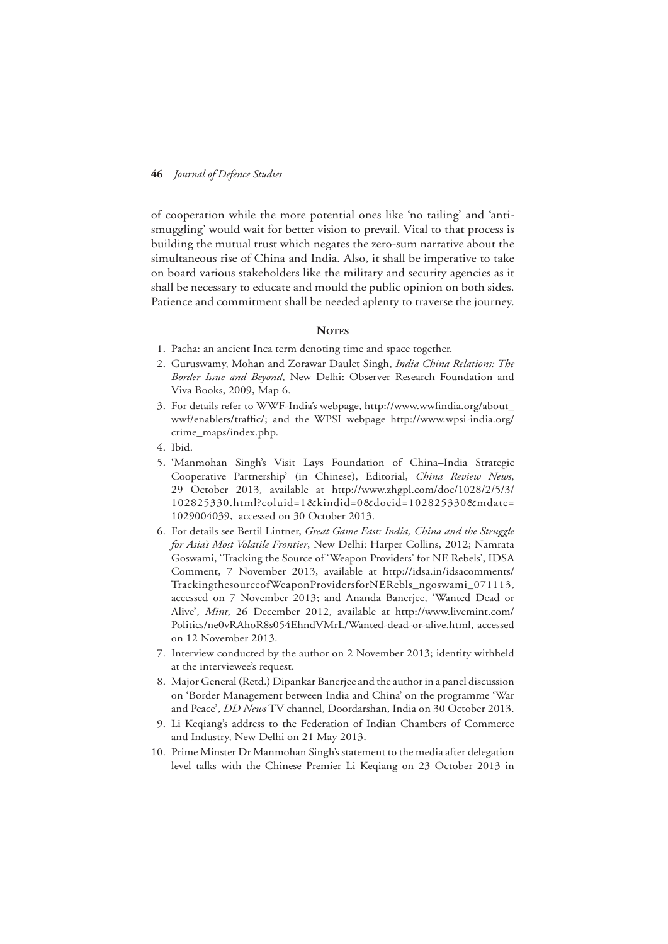of cooperation while the more potential ones like 'no tailing' and 'antismuggling' would wait for better vision to prevail. Vital to that process is building the mutual trust which negates the zero-sum narrative about the simultaneous rise of China and India. Also, it shall be imperative to take on board various stakeholders like the military and security agencies as it shall be necessary to educate and mould the public opinion on both sides. Patience and commitment shall be needed aplenty to traverse the journey.

#### **NOTES**

- 1. Pacha: an ancient Inca term denoting time and space together.
- 2. Guruswamy, Mohan and Zorawar Daulet Singh, *India China Relations: The Border Issue and Beyond*, New Delhi: Observer Research Foundation and Viva Books, 2009, Map 6.
- 3. For details refer to WWF-India's webpage, http://www.wwfindia.org/about\_ wwf/enablers/traffic/; and the WPSI webpage http://www.wpsi-india.org/ crime\_maps/index.php.
- 4. Ibid.
- 5. 'Manmohan Singh's Visit Lays Foundation of China–India Strategic Cooperative Partnership' (in Chinese), Editorial, *China Review News*, 29 October 2013, available at http://www.zhgpl.com/doc/1028/2/5/3/ 102825330.html?coluid=1&kindid=0&docid=102825330&mdate= 1029004039, accessed on 30 October 2013.
- 6. For details see Bertil Lintner, *Great Game East: India, China and the Struggle for Asia's Most Volatile Frontier*, New Delhi: Harper Collins, 2012; Namrata Goswami, 'Tracking the Source of 'Weapon Providers' for NE Rebels', IDSA Comment, 7 November 2013, available at http://idsa.in/idsacomments/ TrackingthesourceofWeaponProvidersforNERebls\_ngoswami\_071113, accessed on 7 November 2013; and Ananda Banerjee, 'Wanted Dead or Alive', *Mint*, 26 December 2012, available at http://www.livemint.com/ Politics/ne0vRAhoR8s054EhndVMrL/Wanted-dead-or-alive.html, accessed on 12 November 2013.
- 7. Interview conducted by the author on 2 November 2013; identity withheld at the interviewee's request.
- 8. Major General (Retd.) Dipankar Banerjee and the author in a panel discussion on 'Border Management between India and China' on the programme 'War and Peace', *DD News* TV channel, Doordarshan, India on 30 October 2013.
- 9. Li Keqiang's address to the Federation of Indian Chambers of Commerce and Industry, New Delhi on 21 May 2013.
- 10. Prime Minster Dr Manmohan Singh's statement to the media after delegation level talks with the Chinese Premier Li Keqiang on 23 October 2013 in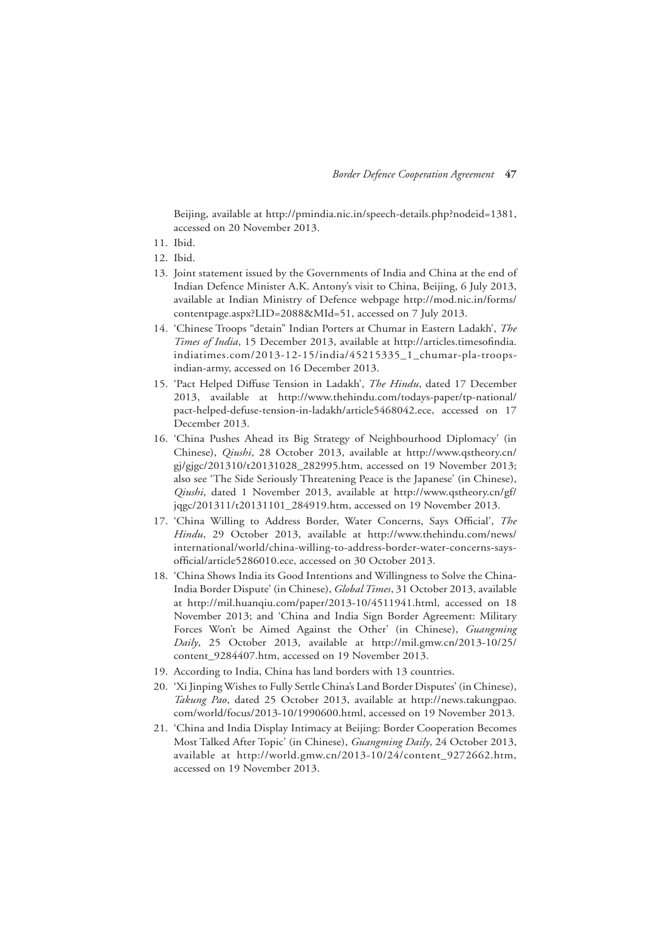Beijing, available at http://pmindia.nic.in/speech-details.php?nodeid=1381, accessed on 20 November 2013.

- 11. Ibid.
- 12. Ibid.
- 13. Joint statement issued by the Governments of India and China at the end of Indian Defence Minister A.K. Antony's visit to China, Beijing, 6 July 2013, available at Indian Ministry of Defence webpage http://mod.nic.in/forms/ contentpage.aspx?LID=2088&MId=51, accessed on 7 July 2013.
- 14. 'Chinese Troops "detain" Indian Porters at Chumar in Eastern Ladakh', *The Times of India*, 15 December 2013, available at http://articles.timesofindia. indiatimes.com/2013-12-15/india/45215335\_1\_chumar-pla-troopsindian-army, accessed on 16 December 2013.
- 15. 'Pact Helped Diffuse Tension in Ladakh', *The Hindu*, dated 17 December 2013, available at http://www.thehindu.com/todays-paper/tp-national/ pact-helped-defuse-tension-in-ladakh/article5468042.ece, accessed on 17 December 2013.
- 16. 'China Pushes Ahead its Big Strategy of Neighbourhood Diplomacy' (in Chinese), *Qiushi*, 28 October 2013, available at http://www.qstheory.cn/ gj/gjgc/201310/t20131028\_282995.htm, accessed on 19 November 2013; also see 'The Side Seriously Threatening Peace is the Japanese' (in Chinese), *Qiushi*, dated 1 November 2013, available at http://www.qstheory.cn/gf/ jqgc/201311/t20131101\_284919.htm, accessed on 19 November 2013.
- 17. 'China Willing to Address Border, Water Concerns, Says Official', *The Hindu*, 29 October 2013, available at http://www.thehindu.com/news/ international/world/china-willing-to-address-border-water-concerns-saysofficial/article5286010.ece, accessed on 30 October 2013.
- 18. 'China Shows India its Good Intentions and Willingness to Solve the China-India Border Dispute' (in Chinese), *Global Times*, 31 October 2013, available at http://mil.huanqiu.com/paper/2013-10/4511941.html, accessed on 18 November 2013; and 'China and India Sign Border Agreement: Military Forces Won't be Aimed Against the Other' (in Chinese), *Guangming Daily*, 25 October 2013, available at http://mil.gmw.cn/2013-10/25/ content\_9284407.htm, accessed on 19 November 2013.
- 19. According to India, China has land borders with 13 countries.
- 20. 'Xi Jinping Wishes to Fully Settle China's Land Border Disputes' (in Chinese), *Takung Pao*, dated 25 October 2013, available at http://news.takungpao. com/world/focus/2013-10/1990600.html, accessed on 19 November 2013.
- 21. 'China and India Display Intimacy at Beijing: Border Cooperation Becomes Most Talked After Topic' (in Chinese), *Guangming Daily*, 24 October 2013, available at http://world.gmw.cn/2013-10/24/content\_9272662.htm, accessed on 19 November 2013.